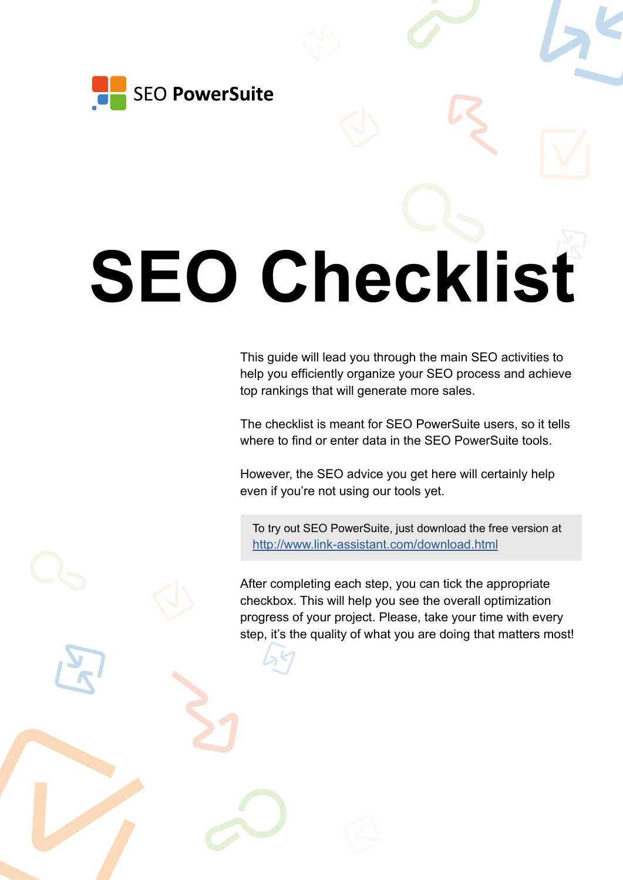

# **SEO Checklist**

This guide will lead you through the main SEO activities to help you efficiently organize your SEO process and achieve top rankings that will generate more sales.

The checklist is meant for SEO PowerSuite users, so it tells where to find or enter data in the SEO PowerSuite tools.

However, the SEO advice you get here will certainly help even if you're not using our tools yet.

To try out SEO PowerSuite, just download the free version at <http://www.link-assistant.com/download.html>

After completing each step, you can tick the appropriate checkbox. This will help you see the overall optimization progress of your project. Please, take your time with every step, it's the quality of what you are doing that matters most!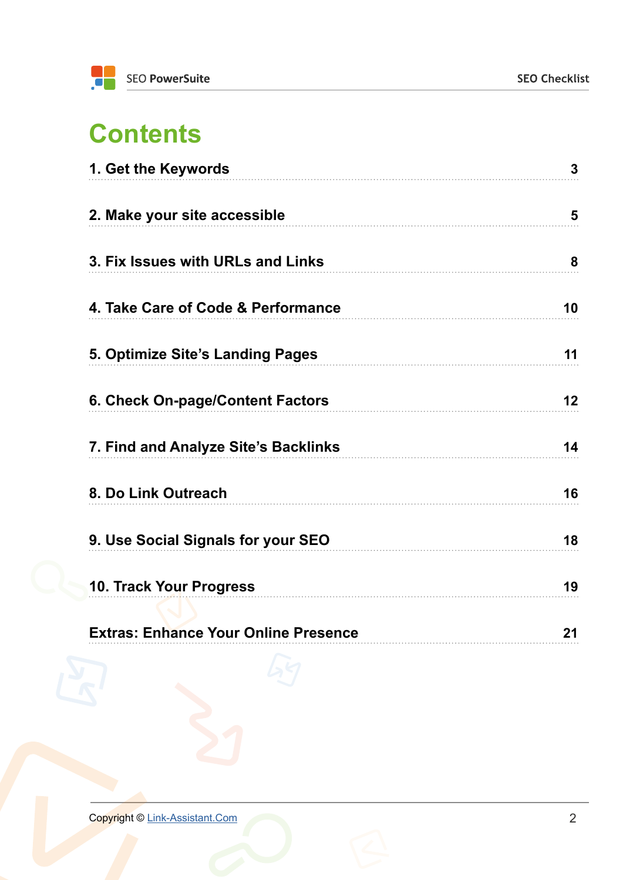### **Contents**

| 1. Get the Keywords                         | $\overline{3}$ |
|---------------------------------------------|----------------|
| 2. Make your site accessible                | 5              |
| 3. Fix Issues with URLs and Links           | 8              |
| 4. Take Care of Code & Performance          | 10             |
| 5. Optimize Site's Landing Pages            | 11             |
| 6. Check On-page/Content Factors            | 12             |
| 7. Find and Analyze Site's Backlinks        | 14             |
| 8. Do Link Outreach                         | 16             |
| 9. Use Social Signals for your SEO          | 18             |
| <b>10. Track Your Progress</b>              | 19             |
| <b>Extras: Enhance Your Online Presence</b> | 21             |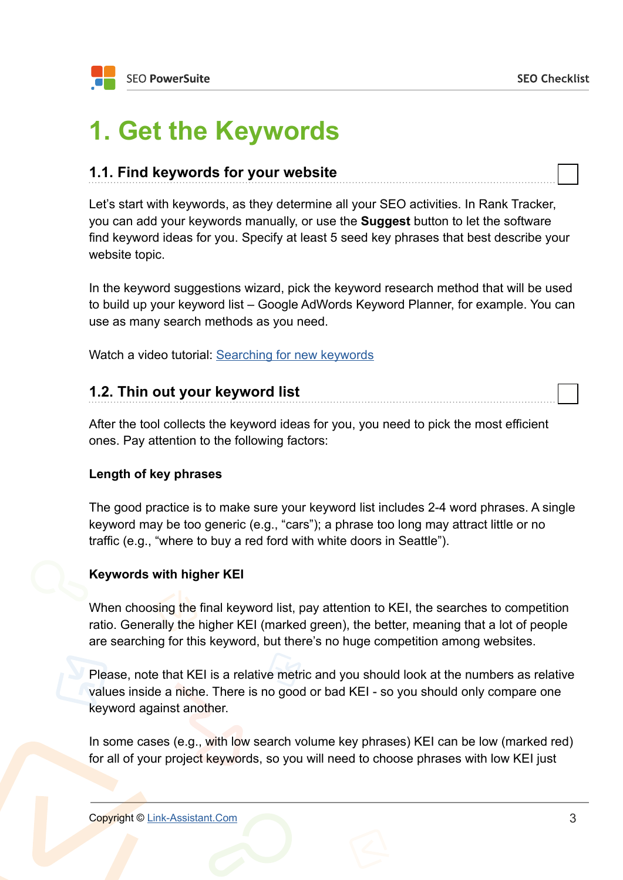### <span id="page-2-0"></span>**1. Get the Keywords**

### **1.1. Find keywords for your website**

Let's start with keywords, as they determine all your SEO activities. In Rank Tracker, you can add your keywords manually, or use the **Suggest** button to let the software find keyword ideas for you. Specify at least 5 seed key phrases that best describe your website topic.

In the keyword suggestions wizard, pick the keyword research method that will be used to build up your keyword list – Google AdWords Keyword Planner, for example. You can use as many search methods as you need.

Watch a video tutorial: [Searching for new keywords](http://www.link-assistant.com/video.html?vid=FMema9S4f2A)

### **1.2. Thin out your keyword list**

After the tool collects the keyword ideas for you, you need to pick the most efficient ones. Pay attention to the following factors:

#### **Length of key phrases**

The good practice is to make sure your keyword list includes 2-4 word phrases. A single keyword may be too generic (e.g., "cars"); a phrase too long may attract little or no traffic (e.g., "where to buy a red ford with white doors in Seattle").

#### **Keywords with higher KEI**

When choosing the final keyword list, pay attention to KEI, the searches to competition ratio. Generally the higher KEI (marked green), the better, meaning that a lot of people are searching for this keyword, but there's no huge competition among websites.

Please, note that KEI is a relative metric and you should look at the numbers as relative values inside a niche. There is no good or bad KEI - so you should only compare one keyword against another.

In some cases (e.g., with low search volume key phrases) KEI can be low (marked red) for all of your project keywords, so you will need to choose phrases with low KEI just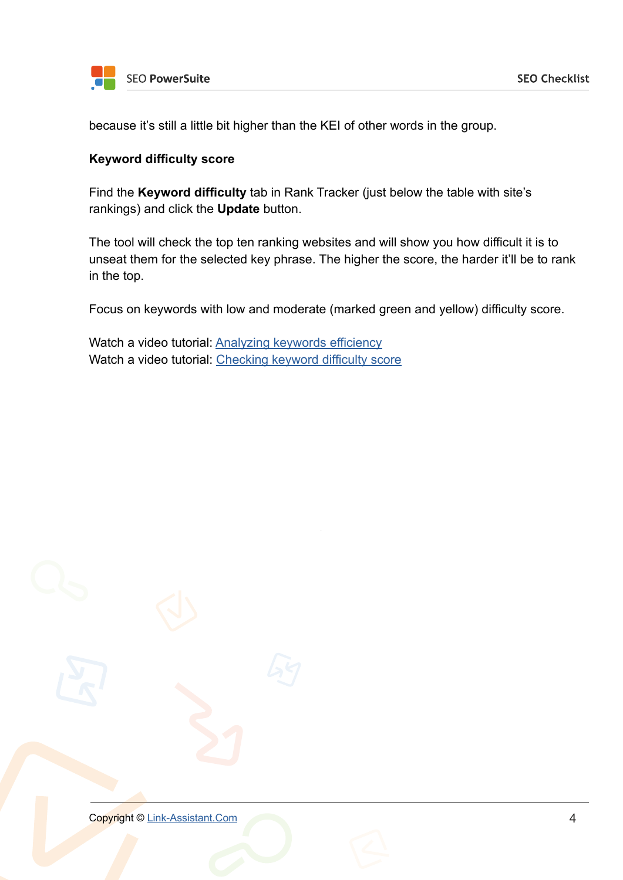

because it's still a little bit higher than the KEI of other words in the group.

#### **Keyword difficulty score**

Find the **Keyword difficulty** tab in Rank Tracker (just below the table with site's rankings) and click the **Update** button.

The tool will check the top ten ranking websites and will show you how difficult it is to unseat them for the selected key phrase. The higher the score, the harder it'll be to rank in the top.

Focus on keywords with low and moderate (marked green and yellow) difficulty score.

Watch a video tutorial: [Analyzing keywords efficiency](http://www.link-assistant.com/video.html?vid=p1zDRxN5ekM) Watch a video tutorial: [Checking keyword difficulty score](http://www.link-assistant.com/video.html?vid=U_YLKCr1vbQ)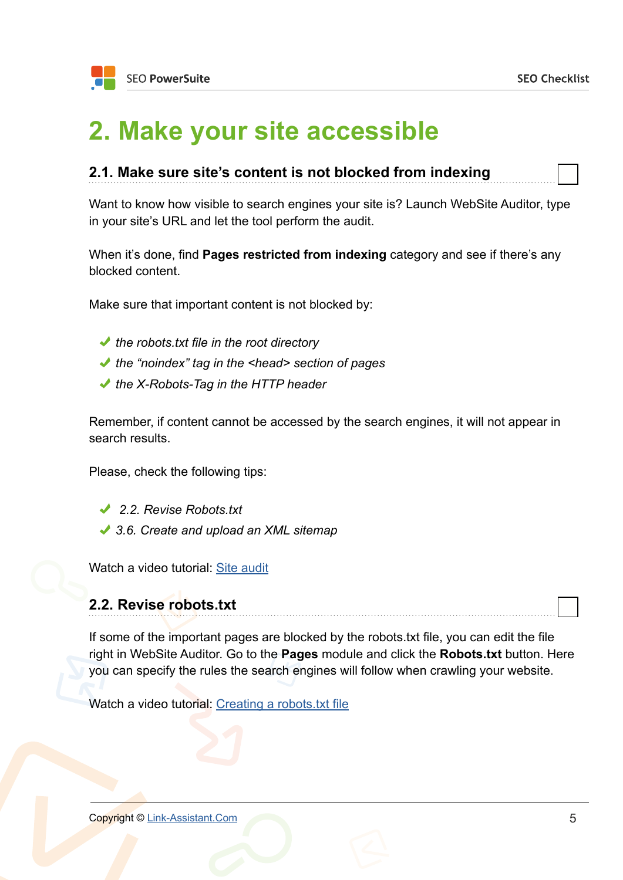### <span id="page-4-0"></span>**2. Make your site accessible**

| 2.1. Make sure site's content is not blocked from indexing |  |
|------------------------------------------------------------|--|
|------------------------------------------------------------|--|

Want to know how visible to search engines your site is? Launch WebSite Auditor, type in your site's URL and let the tool perform the audit.

When it's done, find **Pages restricted from indexing** category and see if there's any blocked content.

Make sure that important content is not blocked by:

- *the robots.txt file in the root directory*
- *the "noindex" tag in the <head> section of pages*
- *the X-Robots-Tag in the HTTP header*

Remember, if content cannot be accessed by the search engines, it will not appear in search results.

Please, check the following tips:

- *2.2. Revise Robots.txt*
- *3.6. Create and upload an XML sitemap*

Watch a video tutorial: [Site audit](http://www.link-assistant.com/video.html?vid=MfC_GbQjXNo)

### **2.2. Revise robots.txt**

If some of the important pages are blocked by the robots.txt file, you can edit the file right in WebSite Auditor. Go to the **Pages** module and click the **Robots.txt** button. Here you can specify the rules the search engines will follow when crawling your website.

Watch a video tutorial: [Creating a robots.txt file](http://www.link-assistant.com/video.html?vid=5Kg_ftuStjY)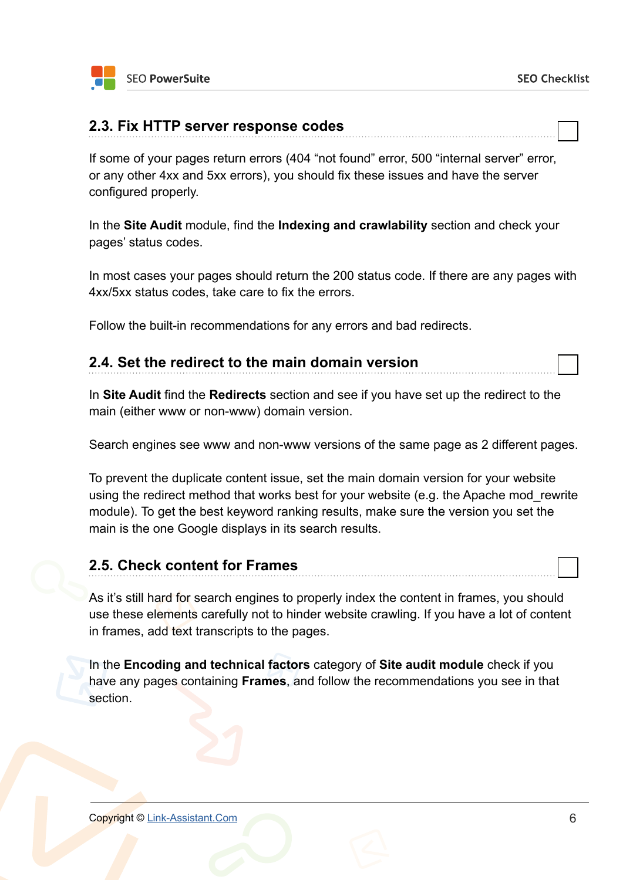#### **2.3. Fix HTTP server response codes**

If some of your pages return errors (404 "not found" error, 500 "internal server" error, or any other 4xx and 5xx errors), you should fix these issues and have the server configured properly.

In the **Site Audit** module, find the **Indexing and crawlability** section and check your pages' status codes.

In most cases your pages should return the 200 status code. If there are any pages with 4xx/5xx status codes, take care to fix the errors.

Follow the built-in recommendations for any errors and bad redirects.

### **2.4. Set the redirect to the main domain version**

In **Site Audit** find the **Redirects** section and see if you have set up the redirect to the main (either www or non-www) domain version.

Search engines see www and non-www versions of the same page as 2 different pages.

To prevent the duplicate content issue, set the main domain version for your website using the redirect method that works best for your website (e.g. the Apache mod\_rewrite module). To get the best keyword ranking results, make sure the version you set the main is the one Google displays in its search results.

### **2.5. Check content for Frames**

As it's still hard for search engines to properly index the content in frames, you should use these elements carefully not to hinder website crawling. If you have a lot of content in frames, add text transcripts to the pages.

In the **Encoding and technical factors** category of **Site audit module** check if you have any pages containing **Frames**, and follow the recommendations you see in that section.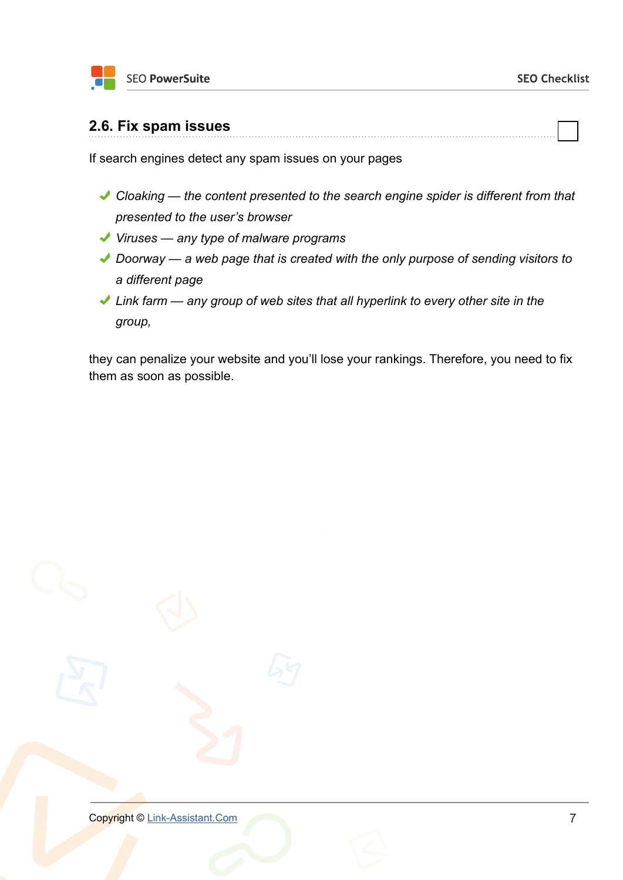

#### **2.6. Fix spam issues**

If search engines detect any spam issues on your pages

*Cloaking — the content presented to the search engine spider is different from that presented to the user's browser*

- *Viruses any type of malware programs*
- ◆ Doorway a web page that is created with the only purpose of sending visitors to *a different page*
- *Link farm any group of web sites that all hyperlink to every other site in the group,*

they can penalize your website and you'll lose your rankings. Therefore, you need to fix them as soon as possible.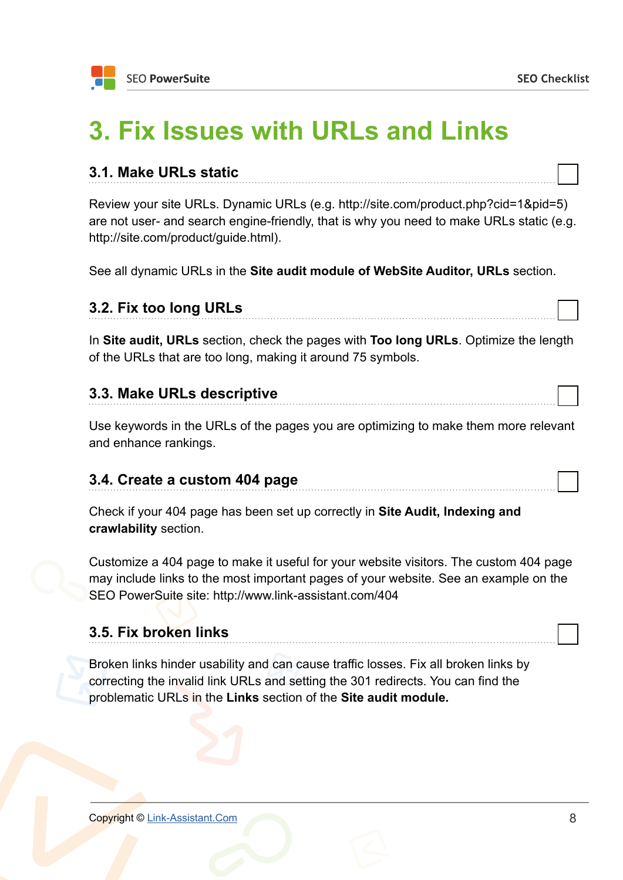г ┑

### <span id="page-7-0"></span>**3. Fix Issues with URLs and Links**

| 3.1. Make URLs static                                                                                                                                                                                                  |
|------------------------------------------------------------------------------------------------------------------------------------------------------------------------------------------------------------------------|
| Review your site URLs. Dynamic URLs (e.g. http://site.com/product.php?cid=1&pid=5)<br>are not user- and search engine-friendly, that is why you need to make URLs static (e.g.<br>http://site.com/product/guide.html). |
| See all dynamic URLs in the Site audit module of WebSite Auditor, URLs section.                                                                                                                                        |

| 3.2. Fix too long URLs                                                                                                                              |
|-----------------------------------------------------------------------------------------------------------------------------------------------------|
| In Site audit, URLs section, check the pages with Too long URLs. Optimize the length<br>of the URLs that are too long, making it around 75 symbols. |
| 3.3. Make URLs descriptive                                                                                                                          |
| Use keywords in the URLs of the pages you are optimizing to make them more relevant<br>and enhance rankings.                                        |

### **3.4. Create a custom 404 page**

Check if your 404 page has been set up correctly in **Site Audit, Indexing and crawlability** section.

Customize a 404 page to make it useful for your website visitors. The custom 404 page may include links to the most important pages of your website. See an example on the SEO PowerSuite site: http://www.link-assistant.com/404

### **3.5. Fix broken links**

Broken links hinder usability and can cause traffic losses. Fix all broken links by correcting the invalid link URLs and setting the 301 redirects. You can find the problematic URLs in the **Links** section of the **Site audit module.**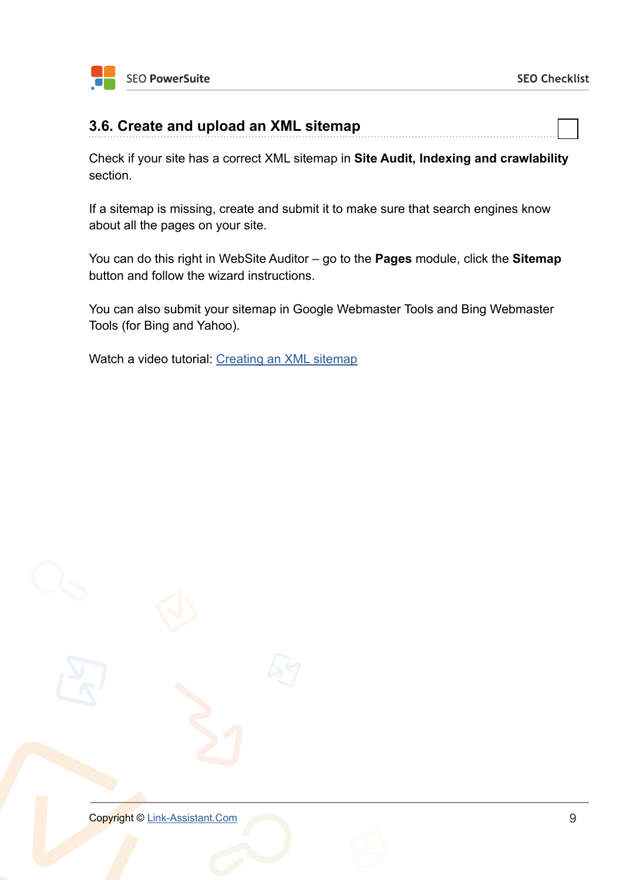

### **3.6. Create and upload an XML sitemap**

Check if your site has a correct XML sitemap in **Site Audit, Indexing and crawlability** section.

If a sitemap is missing, create and submit it to make sure that search engines know about all the pages on your site.

You can do this right in WebSite Auditor – go to the **Pages** module, click the **Sitemap** button and follow the wizard instructions.

You can also submit your sitemap in Google Webmaster Tools and Bing Webmaster Tools (for Bing and Yahoo).

Watch a video tutorial: [Creating an XML sitemap](http://www.link-assistant.com/video.html?vid=L9c0mfHheVk)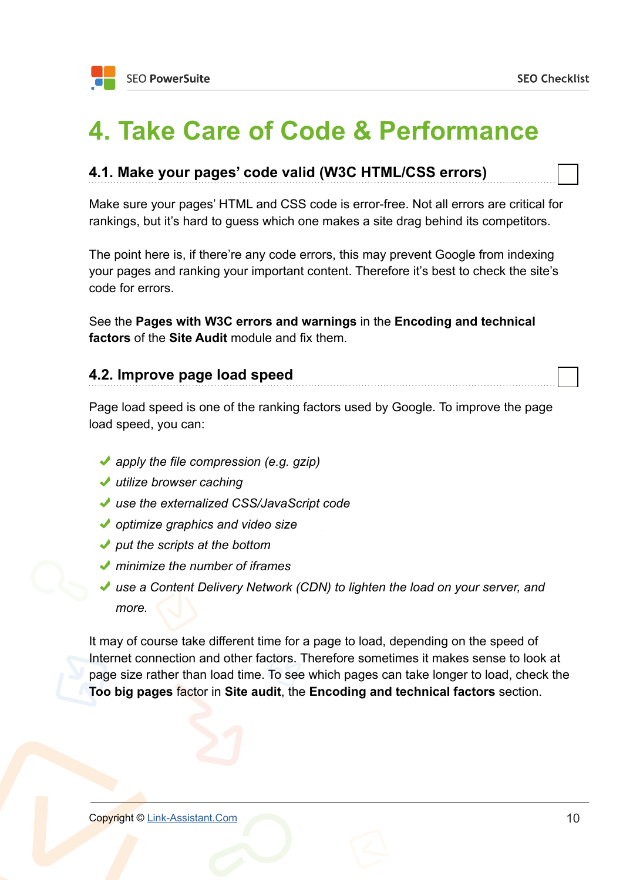### <span id="page-9-0"></span>**4. Take Care of Code & Performance**

### **4.1. Make your pages' code valid (W3C HTML/CSS errors)**

Make sure your pages' HTML and CSS code is error-free. Not all errors are critical for rankings, but it's hard to guess which one makes a site drag behind its competitors.

The point here is, if there're any code errors, this may prevent Google from indexing your pages and ranking your important content. Therefore it's best to check the site's code for errors.

See the **Pages with W3C errors and warnings** in the **Encoding and technical factors** of the **Site Audit** module and fix them.

#### **4.2. Improve page load speed**

Page load speed is one of the ranking factors used by Google. To improve the page load speed, you can:

- *apply the file compression (e.g. gzip)*
- *utilize browser caching*
- *use the externalized CSS/JavaScript code*
- *optimize graphics and video size*
- *put the scripts at the bottom*
- *minimize the number of iframes*
- ◆ use a Content Delivery Network (CDN) to lighten the load on your server, and *more.*

It may of course take different time for a page to load, depending on the speed of Internet connection and other factors. Therefore sometimes it makes sense to look at page size rather than load time. To see which pages can take longer to load, check the **Too big pages** factor in **Site audit**, the **Encoding and technical factors** section.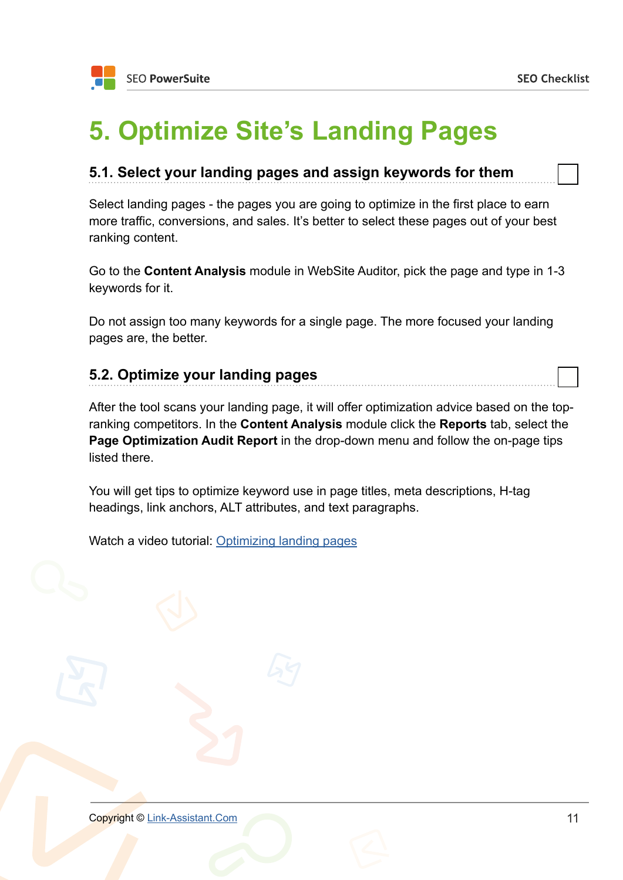### <span id="page-10-0"></span>**5. Optimize Site's Landing Pages**

### **5.1. Select your landing pages and assign keywords for them**

Select landing pages - the pages you are going to optimize in the first place to earn more traffic, conversions, and sales. It's better to select these pages out of your best ranking content.

Go to the **Content Analysis** module in WebSite Auditor, pick the page and type in 1-3 keywords for it.

Do not assign too many keywords for a single page. The more focused your landing pages are, the better.

### **5.2. Optimize your landing pages**

After the tool scans your landing page, it will offer optimization advice based on the topranking competitors. In the **Content Analysis** module click the **Reports** tab, select the **Page Optimization Audit Report** in the drop-down menu and follow the on-page tips listed there.

You will get tips to optimize keyword use in page titles, meta descriptions, H-tag headings, link anchors, ALT attributes, and text paragraphs.

Watch a video tutorial: [Optimizing landing pages](http://www.link-assistant.com/video.html?vid=1AnELACSDyM)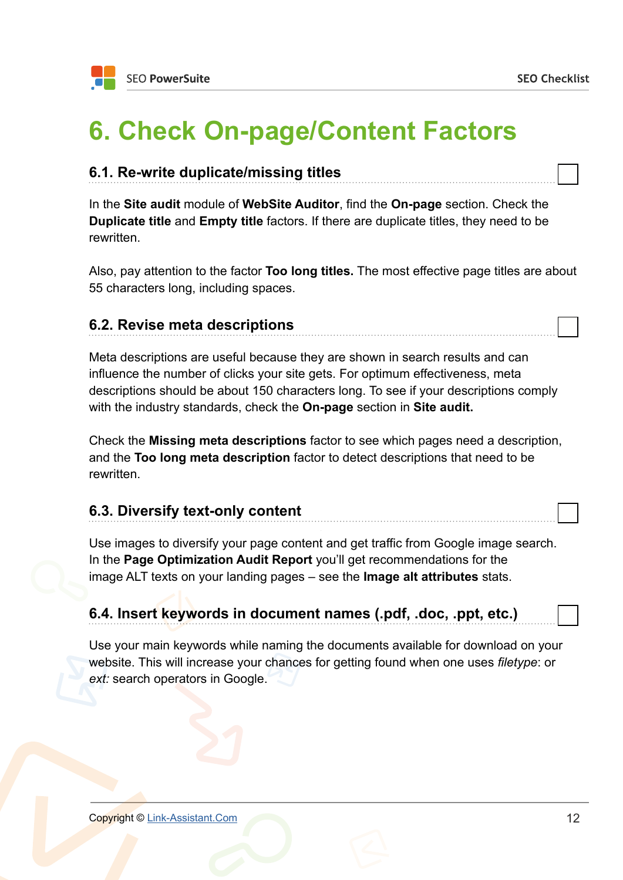### <span id="page-11-0"></span>**6. Check On-page/Content Factors**

### **6.1. Re-write duplicate/missing titles**

In the **Site audit** module of **WebSite Auditor**, find the **On-page** section. Check the **Duplicate title** and **Empty title** factors. If there are duplicate titles, they need to be rewritten.

Also, pay attention to the factor **Too long titles.** The most effective page titles are about 55 characters long, including spaces.

### **6.2. Revise meta descriptions**

Meta descriptions are useful because they are shown in search results and can influence the number of clicks your site gets. For optimum effectiveness, meta descriptions should be about 150 characters long. To see if your descriptions comply with the industry standards, check the **On-page** section in **Site audit.**

Check the **Missing meta descriptions** factor to see which pages need a description, and the **Too long meta description** factor to detect descriptions that need to be rewritten.

### **6.3. Diversify text-only content**

Use images to diversify your page content and get traffic from Google image search. In the **Page Optimization Audit Report** you'll get recommendations for the image ALT texts on your landing pages – see the **Image alt attributes** stats.

### **6.4. Insert keywords in document names (.pdf, .doc, .ppt, etc.)**

Use your main keywords while naming the documents available for download on your website. This will increase your chances for getting found when one uses *filetype*: or *ext:* search operators in Google.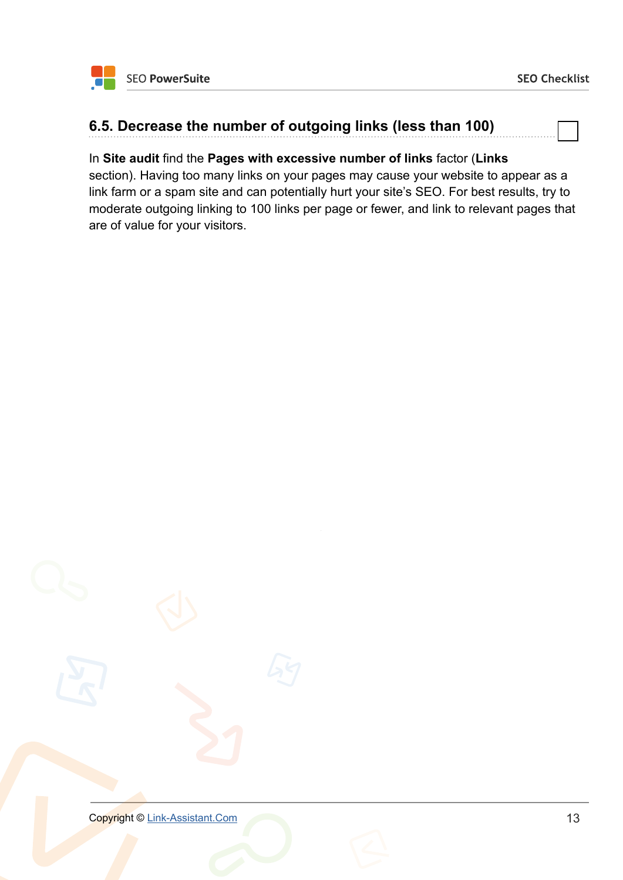### **6.5. Decrease the number of outgoing links (less than 100)**

#### In **Site audit** find the **Pages with excessive number of links** factor (**Links**

section). Having too many links on your pages may cause your website to appear as a link farm or a spam site and can potentially hurt your site's SEO. For best results, try to moderate outgoing linking to 100 links per page or fewer, and link to relevant pages that are of value for your visitors.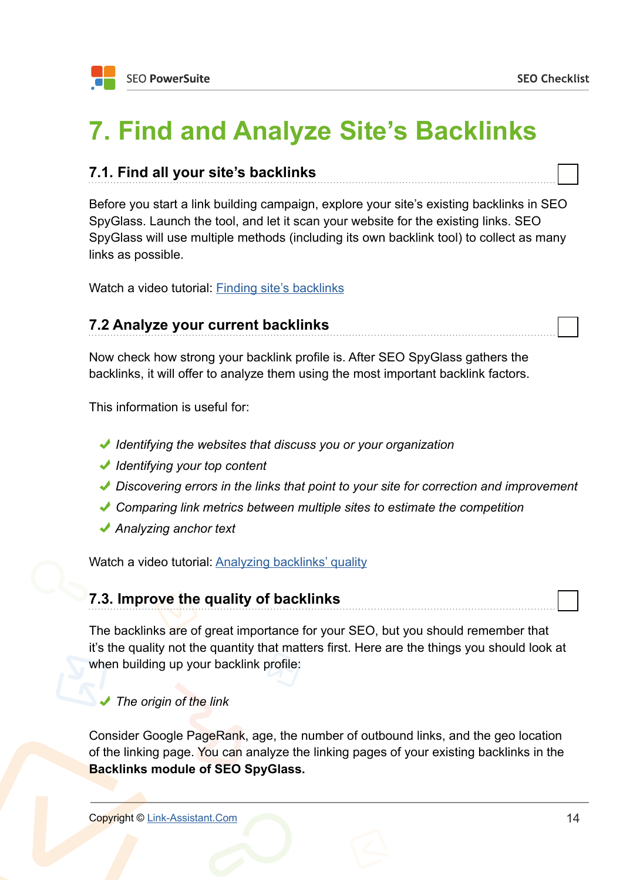### <span id="page-13-0"></span>**7. Find and Analyze Site's Backlinks**

### **7.1. Find all your site's backlinks**

Before you start a link building campaign, explore your site's existing backlinks in SEO SpyGlass. Launch the tool, and let it scan your website for the existing links. SEO SpyGlass will use multiple methods (including its own backlink tool) to collect as many links as possible.

Watch a video tutorial: [Finding site's backlinks](http://www.link-assistant.com/video.html?vid=cCBB8ako2PM)

### **7.2 Analyze your current backlinks**

Now check how strong your backlink profile is. After SEO SpyGlass gathers the backlinks, it will offer to analyze them using the most important backlink factors.

This information is useful for:

- *Identifying the websites that discuss you or your organization*
- *Identifying your top content*
- *Discovering errors in the links that point to your site for correction and improvement*
- *Comparing link metrics between multiple sites to estimate the competition*
- *Analyzing anchor text*

Watch a video tutorial: [Analyzing backlinks' quality](http://www.link-assistant.com/video.html?vid=qVYs_2F3LDM)

### **7.3. Improve the quality of backlinks**

The backlinks are of great importance for your SEO, but you should remember that it's the quality not the quantity that matters first. Here are the things you should look at when building up your backlink profile:

#### *The origin of the link*

Consider Google PageRank, age, the number of outbound links, and the geo location of the linking page. You can analyze the linking pages of your existing backlinks in the **Backlinks module of SEO SpyGlass.**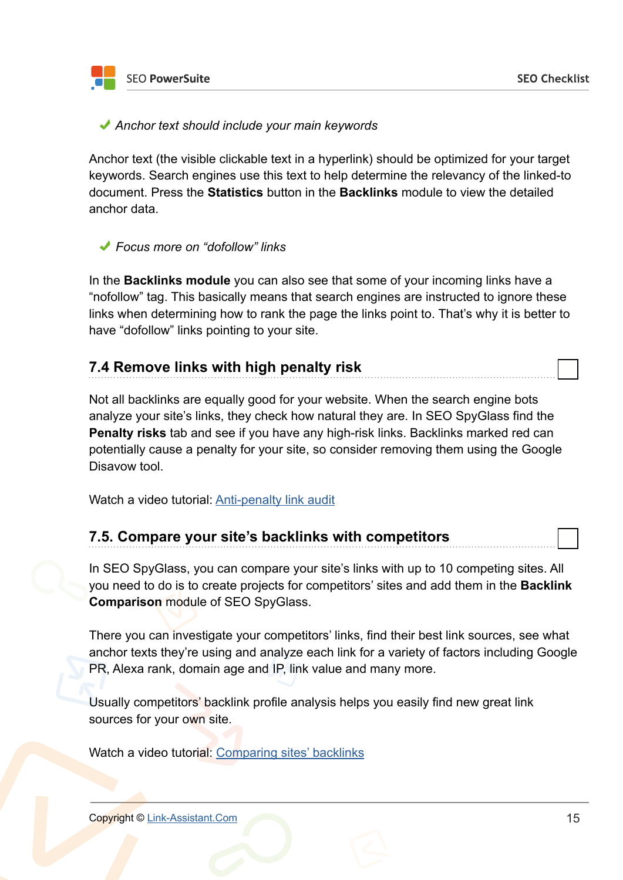**SEO PowerSuite** 

#### *Anchor text should include your main keywords*

Anchor text (the visible clickable text in a hyperlink) should be optimized for your target keywords. Search engines use this text to help determine the relevancy of the linked-to document. Press the **Statistics** button in the **Backlinks** module to view the detailed anchor data.

#### *Focus more on "dofollow" links*

In the **Backlinks module** you can also see that some of your incoming links have a "nofollow" tag. This basically means that search engines are instructed to ignore these links when determining how to rank the page the links point to. That's why it is better to have "dofollow" links pointing to your site.

### **7.4 Remove links with high penalty risk**

Not all backlinks are equally good for your website. When the search engine bots analyze your site's links, they check how natural they are. In SEO SpyGlass find the **Penalty risks** tab and see if you have any high-risk links. Backlinks marked red can potentially cause a penalty for your site, so consider removing them using the Google Disavow tool.

Watch a video tutorial: [Anti-penalty link audit](http://www.link-assistant.com/video.html?vid=lrdTgLZbSUw)

### **7.5. Compare your site's backlinks with competitors**

In SEO SpyGlass, you can compare your site's links with up to 10 competing sites. All you need to do is to create projects for competitors' sites and add them in the **Backlink Comparison** module of SEO SpyGlass.

There you can investigate your competitors' links, find their best link sources, see what anchor texts they're using and analyze each link for a variety of factors including Google PR, Alexa rank, domain age and IP, link value and many more.

Usually competitors' backlink profile analysis helps you easily find new great link sources for your own site.

Watch a video tutorial: [Comparing sites' backlinks](http://www.link-assistant.com/video.html?vid=P19_27PYXhE)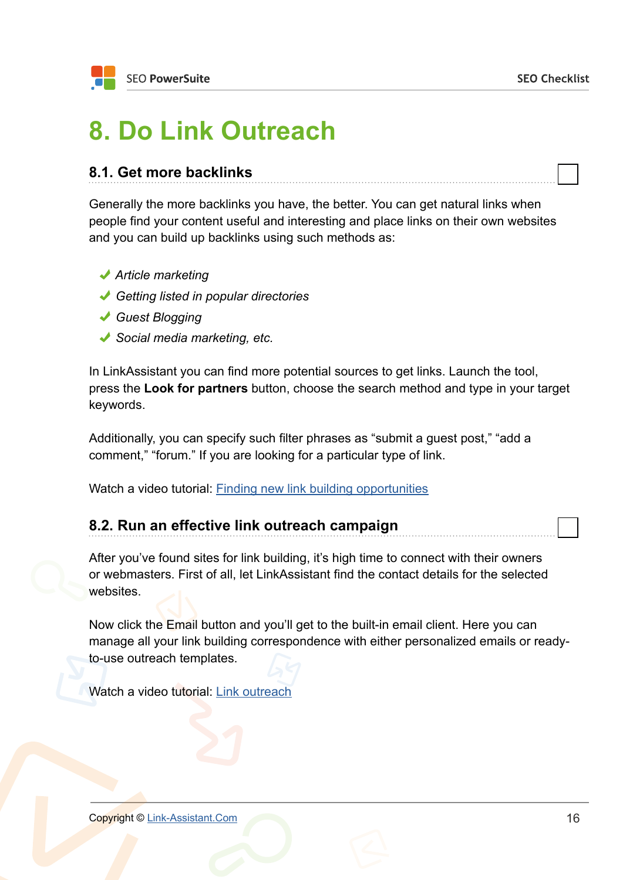### <span id="page-15-0"></span>**8. Do Link Outreach**

### **8.1. Get more backlinks**

Generally the more backlinks you have, the better. You can get natural links when people find your content useful and interesting and place links on their own websites and you can build up backlinks using such methods as:

- *Article marketing*
- *Getting listed in popular directories*
- *Guest Blogging*
- *Social media marketing, etc.*

In LinkAssistant you can find more potential sources to get links. Launch the tool, press the **Look for partners** button, choose the search method and type in your target keywords.

Additionally, you can specify such filter phrases as "submit a guest post," "add a comment," "forum." If you are looking for a particular type of link.

Watch a video tutorial: [Finding new link building opportunities](http://www.link-assistant.com/video.html?vid=ak8G-ssyCuE)

| 8.2. Run an effective link outreach campaign |  |
|----------------------------------------------|--|
|                                              |  |

After you've found sites for link building, it's high time to connect with their owners or webmasters. First of all, let LinkAssistant find the contact details for the selected websites.

Now click the Email button and you'll get to the built-in email client. Here you can manage all your link building correspondence with either personalized emails or readyto-use outreach templates.

Watch a video tutorial: [Link outreach](http://www.link-assistant.com/video.html?vid=CC4iZCPv0j0)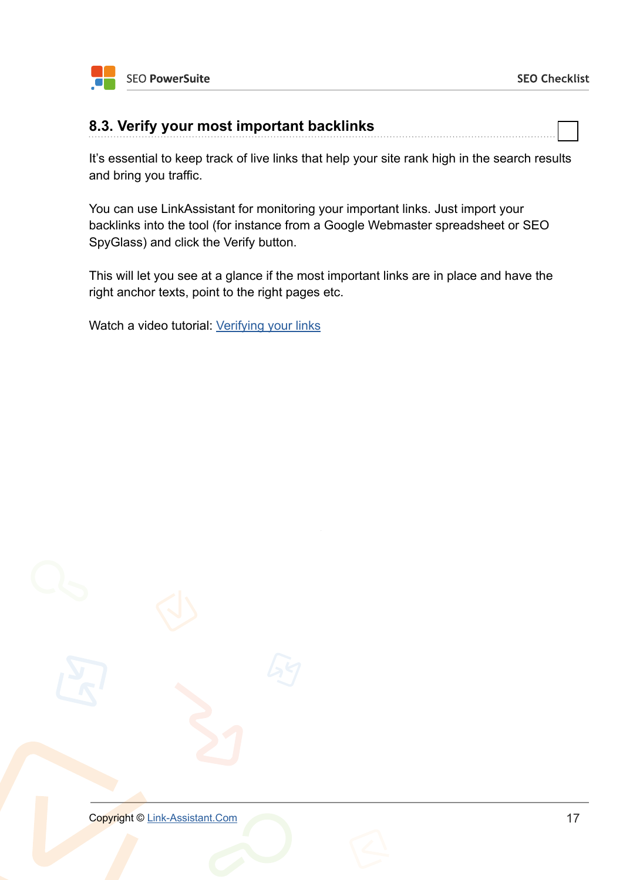

### **8.3. Verify your most important backlinks**

It's essential to keep track of live links that help your site rank high in the search results and bring you traffic.

You can use LinkAssistant for monitoring your important links. Just import your backlinks into the tool (for instance from a Google Webmaster spreadsheet or SEO SpyGlass) and click the Verify button.

This will let you see at a glance if the most important links are in place and have the right anchor texts, point to the right pages etc.

Watch a video tutorial: [Verifying your links](http://www.link-assistant.com/video.html?vid=MFAsjWvq4cM)

**Copyright © [Link-Assistant.Com](http://link-assistant.com)** 17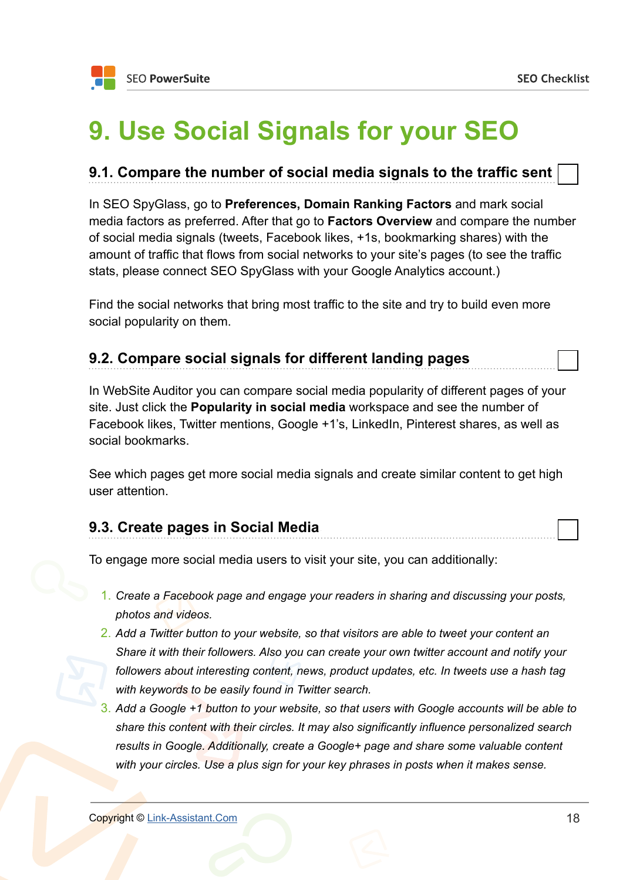### <span id="page-17-0"></span>**9. Use Social Signals for your SEO**

### **9.1. Compare the number of social media signals to the traffic sent**

In SEO SpyGlass, go to **Preferences, Domain Ranking Factors** and mark social media factors as preferred. After that go to **Factors Overview** and compare the number of social media signals (tweets, Facebook likes, +1s, bookmarking shares) with the amount of traffic that flows from social networks to your site's pages (to see the traffic stats, please connect SEO SpyGlass with your Google Analytics account.)

Find the social networks that bring most traffic to the site and try to build even more social popularity on them.

### **9.2. Compare social signals for different landing pages**

In WebSite Auditor you can compare social media popularity of different pages of your site. Just click the **Popularity in social media** workspace and see the number of Facebook likes, Twitter mentions, Google +1's, LinkedIn, Pinterest shares, as well as social bookmarks.

See which pages get more social media signals and create similar content to get high user attention.

#### **9.3. Create pages in Social Media**

To engage more social media users to visit your site, you can additionally:

- 1. *Create a Facebook page and engage your readers in sharing and discussing your posts, photos and videos.*
- 2. *Add a Twitter button to your website, so that visitors are able to tweet your content an Share it with their followers. Also you can create your own twitter account and notify your followers about interesting content, news, product updates, etc. In tweets use a hash tag with keywords to be easily found in Twitter search.*
- 3. *Add a Google +1 button to your website, so that users with Google accounts will be able to share this content with their circles. It may also significantly influence personalized search results in Google. Additionally, create a Google+ page and share some valuable content with your circles. Use a plus sign for your key phrases in posts when it makes sense.*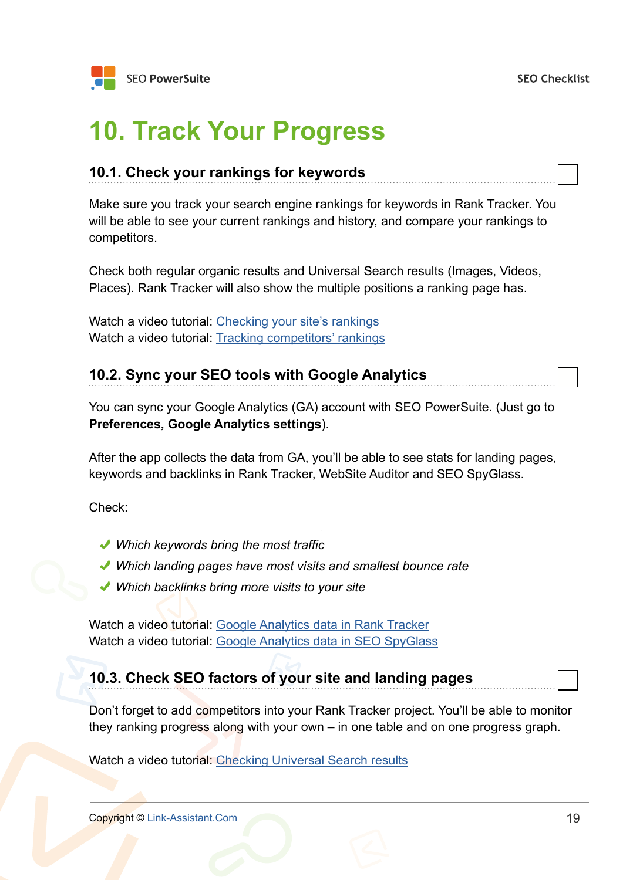### <span id="page-18-0"></span>**10. Track Your Progress**

| 10.1. Check your rankings for keywords |  |
|----------------------------------------|--|
|----------------------------------------|--|

Make sure you track your search engine rankings for keywords in Rank Tracker. You will be able to see your current rankings and history, and compare your rankings to competitors.

Check both regular organic results and Universal Search results (Images, Videos, Places). Rank Tracker will also show the multiple positions a ranking page has.

Watch a video tutorial: [Checking your site's rankings](http://www.link-assistant.com/video.html?vid=NqzoJ1JWut4) Watch a video tutorial: [Tracking competitors' rankings](http://www.link-assistant.com/video.html?vid=SBZIwHSpC8Q)

### **10.2. Sync your SEO tools with Google Analytics**

You can sync your Google Analytics (GA) account with SEO PowerSuite. (Just go to **Preferences, Google Analytics settings**).

After the app collects the data from GA, you'll be able to see stats for landing pages, keywords and backlinks in Rank Tracker, WebSite Auditor and SEO SpyGlass.

Check:

- *Which keywords bring the most traffic*
- *Which landing pages have most visits and smallest bounce rate*
- *Which backlinks bring more visits to your site*

Watch a video tutorial: [Google Analytics data in Rank Tracker](http://www.link-assistant.com/video.html?vid=JRs90WYkKbI) Watch a video tutorial: [Google Analytics data in SEO SpyGlass](http://www.link-assistant.com/video.html?vid=Afzn8FMlW-E)

### **10.3. Check SEO factors of your site and landing pages**

Don't forget to add competitors into your Rank Tracker project. You'll be able to monitor they ranking progress along with your own – in one table and on one progress graph.

Watch a video tutorial: [Checking Universal Search results](http://www.link-assistant.com/video.html?vid=lf0yjCL8UPI)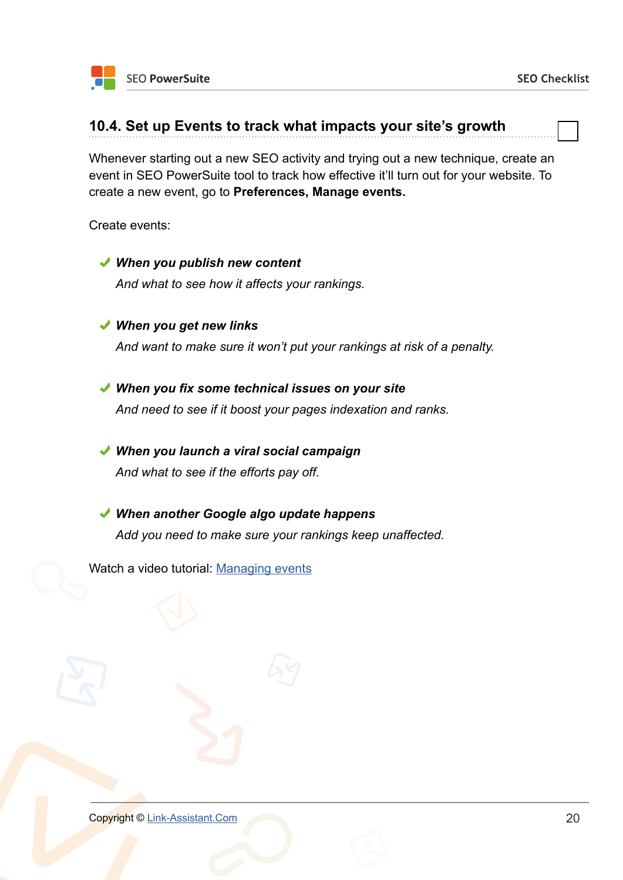#### **10.4. Set up Events to track what impacts your site's growth**

Whenever starting out a new SEO activity and trying out a new technique, create an event in SEO PowerSuite tool to track how effective it'll turn out for your website. To create a new event, go to **Preferences, Manage events.**

Create events:

- *When you publish new content And what to see how it affects your rankings. When you get new links And want to make sure it won't put your rankings at risk of a penalty. When you fix some technical issues on your site And need to see if it boost your pages indexation and ranks. When you launch a viral social campaign And what to see if the efforts pay off.*
- *When another Google algo update happens Add you need to make sure your rankings keep unaffected.*

Watch a video tutorial: [Managing events](http://www.link-assistant.com/video.html?vid=GO-uaGHNexM)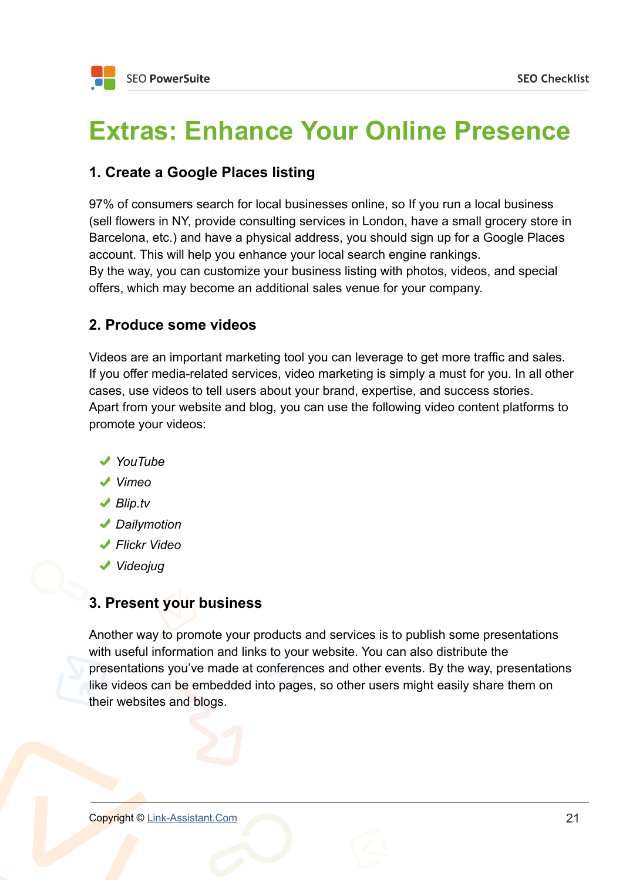### <span id="page-20-0"></span>**Extras: Enhance Your Online Presence**

### **1. Create a Google Places listing**

97% of consumers search for local businesses online, so If you run a local business (sell flowers in NY, provide consulting services in London, have a small grocery store in Barcelona, etc.) and have a physical address, you should sign up for a Google Places account. This will help you enhance your local search engine rankings. By the way, you can customize your business listing with photos, videos, and special offers, which may become an additional sales venue for your company.

### **2. Produce some videos**

Videos are an important marketing tool you can leverage to get more traffic and sales. If you offer media-related services, video marketing is simply a must for you. In all other cases, use videos to tell users about your brand, expertise, and success stories. Apart from your website and blog, you can use the following video content platforms to promote your videos:

- *YouTube*
- *Vimeo*
- *Blip.tv*
- *Dailymotion*
- *Flickr Video*
- *Videojug*

### **3. Present your business**

Another way to promote your products and services is to publish some presentations with useful information and links to your website. You can also distribute the presentations you've made at conferences and other events. By the way, presentations like videos can be embedded into pages, so other users might easily share them on their websites and blogs.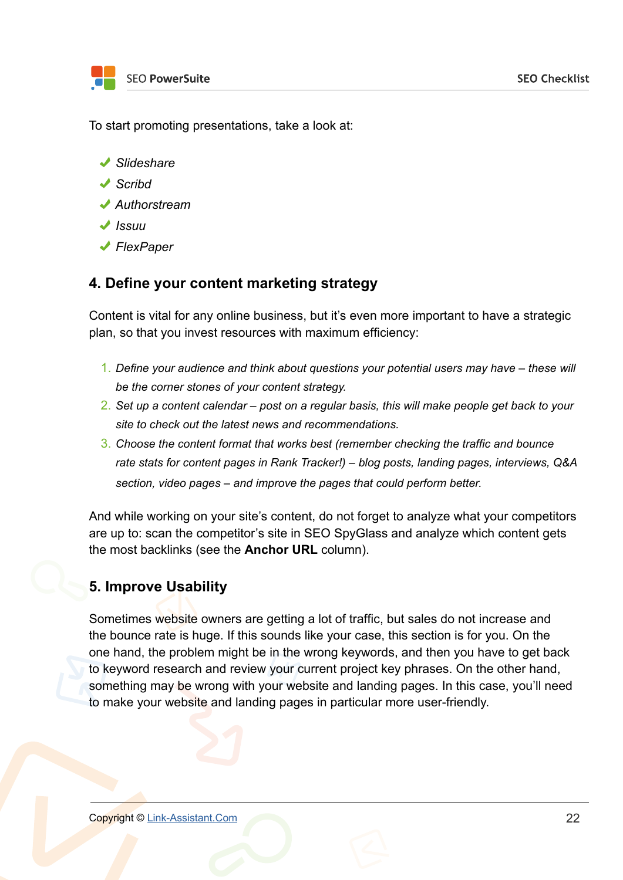

To start promoting presentations, take a look at:

- *Slideshare*
- *Scribd*
- *Authorstream*
- *Issuu*
- *FlexPaper*

### **4. Define your content marketing strategy**

Content is vital for any online business, but it's even more important to have a strategic plan, so that you invest resources with maximum efficiency:

- 1. *Define your audience and think about questions your potential users may have these will be the corner stones of your content strategy.*
- 2. *Set up a content calendar post on a regular basis, this will make people get back to your site to check out the latest news and recommendations.*
- 3. *Choose the content format that works best (remember checking the traffic and bounce rate stats for content pages in Rank Tracker!) – blog posts, landing pages, interviews, Q&A section, video pages – and improve the pages that could perform better.*

And while working on your site's content, do not forget to analyze what your competitors are up to: scan the competitor's site in SEO SpyGlass and analyze which content gets the most backlinks (see the **Anchor URL** column).

### **5. Improve Usability**

Sometimes website owners are getting a lot of traffic, but sales do not increase and the bounce rate is huge. If this sounds like your case, this section is for you. On the one hand, the problem might be in the wrong keywords, and then you have to get back to keyword research and review your current project key phrases. On the other hand, something may be wrong with your website and landing pages. In this case, you'll need to make your website and landing pages in particular more user-friendly.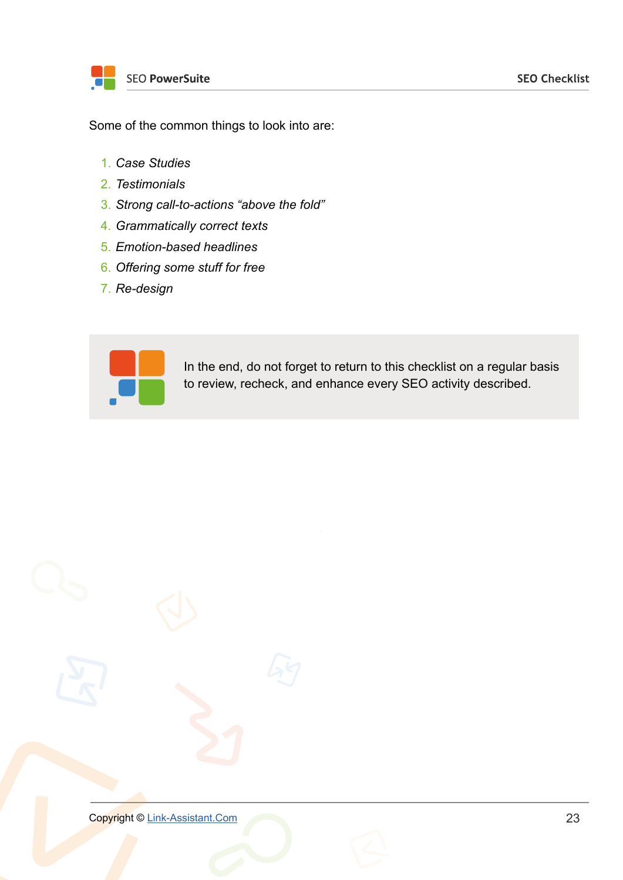Some of the common things to look into are:

- 1. *Case Studies*
- 2. *Testimonials*
- 3. *Strong call-to-actions "above the fold"*
- 4. *Grammatically correct texts*
- 5. *Emotion-based headlines*
- 6. *Offering some stuff for free*
- 7. *Re-design*



In the end, do not forget to return to this checklist on a regular basis to review, recheck, and enhance every SEO activity described.